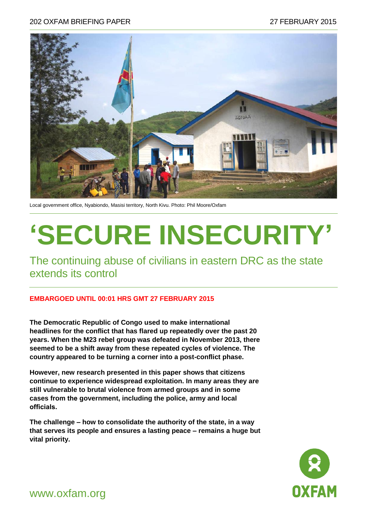#### 202 OXFAM BRIEFING PAPER 27 FEBRUARY 2015



Local government office, Nyabiondo, Masisi territory, North Kivu. Photo: Phil Moore/Oxfam

# **'SECURE INSECURITY'**

The continuing abuse of civilians in eastern DRC as the state extends its control

#### **EMBARGOED UNTIL 00:01 HRS GMT 27 FEBRUARY 2015**

**The Democratic Republic of Congo used to make international headlines for the conflict that has flared up repeatedly over the past 20 years. When the M23 rebel group was defeated in November 2013, there seemed to be a shift away from these repeated cycles of violence. The country appeared to be turning a corner into a post-conflict phase.** 

**However, new research presented in this paper shows that citizens continue to experience widespread exploitation. In many areas they are still vulnerable to brutal violence from armed groups and in some cases from the government, including the police, army and local officials.** 

**The challenge – how to consolidate the authority of the state, in a way that serves its people and ensures a lasting peace – remains a huge but vital priority.** 



www.oxfam.org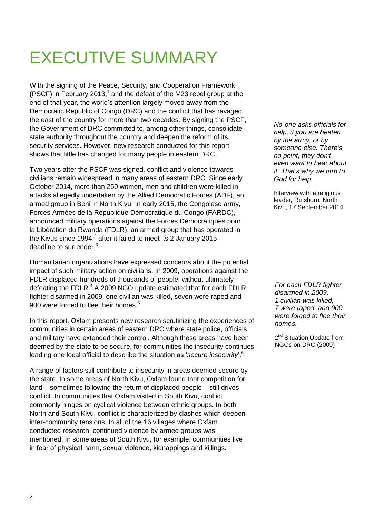## EXECUTIVE SUMMARY

With the signing of the Peace, Security, and Cooperation Framework (PSCF) in February 2013,<sup>1</sup> and the defeat of the M23 rebel group at the end of that year, the world's attention largely moved away from the Democratic Republic of Congo (DRC) and the conflict that has ravaged the east of the country for more than two decades. By signing the PSCF, the Government of DRC committed to, among other things, consolidate state authority throughout the country and deepen the reform of its security services. However, new research conducted for this report shows that little has changed for many people in eastern DRC.

Two years after the PSCF was signed, conflict and violence towards civilians remain widespread in many areas of eastern DRC. Since early October 2014, more than 250 women, men and children were killed in attacks allegedly undertaken by the Allied Democratic Forces (ADF), an armed group in Beni in North Kivu. In early 2015, the Congolese army, Forces Armées de la République Démocratique du Congo (FARDC), announced military operations against the Forces Démocratiques pour la Libération du Rwanda (FDLR), an armed group that has operated in the Kivus since 1994,<sup>2</sup> after it failed to meet its 2 January 2015 deadline to surrender.<sup>3</sup>

Humanitarian organizations have expressed concerns about the potential impact of such military action on civilians. In 2009, operations against the FDLR displaced hundreds of thousands of people, without ultimately defeating the FDLR. $4$  A 2009 NGO update estimated that for each FDLR fighter disarmed in 2009, one civilian was killed, seven were raped and 900 were forced to flee their homes.<sup>5</sup>

In this report, Oxfam presents new research scrutinizing the experiences of communities in certain areas of eastern DRC where state police, officials and military have extended their control. Although these areas have been deemed by the state to be secure, for communities the insecurity continues, leading one local official to describe the situation as '*secure insecurity*'.<sup>6</sup>

A range of factors still contribute to insecurity in areas deemed secure by the state. In some areas of North Kivu, Oxfam found that competition for land – sometimes following the return of displaced people – still drives conflict. In communities that Oxfam visited in South Kivu, conflict commonly hinges on cyclical violence between ethnic groups. In both North and South Kivu, conflict is characterized by clashes which deepen inter-community tensions. In all of the 16 villages where Oxfam conducted research, continued violence by armed groups was mentioned. In some areas of South Kivu, for example, communities live in fear of physical harm, sexual violence, kidnappings and killings.

*No-one asks officials for help, if you are beaten by the army, or by someone else. There"s no point, they don"t even want to hear about it. That"s why we turn to God for help.*

Interview with a religious leader, Rutshuru, North Kivu, 17 September 2014

*For each FDLR fighter disarmed in 2009, 1 civilian was killed, 7 were raped, and 900 were forced to flee their homes.*

2<sup>nd</sup> Situation Update from NGOs on DRC (2009)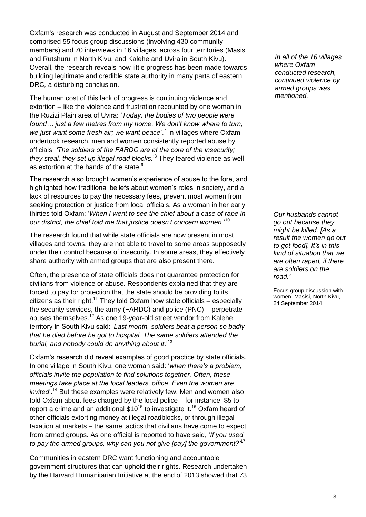Oxfam's research was conducted in August and September 2014 and comprised 55 focus group discussions (involving 430 community members) and 70 interviews in 16 villages, across four territories (Masisi and Rutshuru in North Kivu, and Kalehe and Uvira in South Kivu). Overall, the research reveals how little progress has been made towards building legitimate and credible state authority in many parts of eastern DRC*,* a disturbing conclusion.

The human cost of this lack of progress is continuing violence and extortion – like the violence and frustration recounted by one woman in the Ruzizi Plain area of Uvira: '*Today, the bodies of two people were found… just a few metres from my home. We don"t know where to turn,*  we just want some fresh air; we want peace<sup>'.7</sup> In villages where Oxfam undertook research, men and women consistently reported abuse by officials. *"The soldiers of the FARDC are at the core of the insecurity; they steal, they set up illegal road blocks.*' 8 They feared violence as well as extortion at the hands of the state. $9$ 

The research also brought women's experience of abuse to the fore, and highlighted how traditional beliefs about women's roles in society, and a lack of resources to pay the necessary fees, prevent most women from seeking protection or justice from local officials. As a woman in her early thirties told Oxfam: '*When I went to see the chief about a case of rape in our district, the chief told me that justice doesn"t concern women*.'<sup>10</sup>

The research found that while state officials are now present in most villages and towns, they are not able to travel to some areas supposedly under their control because of insecurity. In some areas, they effectively share authority with armed groups that are also present there.

Often, the presence of state officials does not guarantee protection for civilians from violence or abuse. Respondents explained that they are forced to pay for protection that the state should be providing to its citizens as their right.<sup>11</sup> They told Oxfam how state officials – especially the security services, the army (FARDC) and police (PNC) – perpetrate abuses themselves.<sup>12</sup> As one 19-year-old street vendor from Kalehe territory in South Kivu said: '*Last month, soldiers beat a person so badly that he died before he got to hospital. The same soldiers attended the burial, and nobody could do anything about it*.'<sup>13</sup>

Oxfam's research did reveal examples of good practice by state officials. In one village in South Kivu, one woman said: '*when there"s a problem, officials invite the population to find solutions together. Often, these meetings take place at the local leaders" office. Even the women are invited*<sup>14</sup> But these examples were relatively few. Men and women also told Oxfam about fees charged by the local police – for instance, \$5 to report a crime and an additional  $$10^{15}$  to investigate it.<sup>16</sup> Oxfam heard of other officials extorting money at illegal roadblocks, or through illegal taxation at markets – the same tactics that civilians have come to expect from armed groups. As one official is reported to have said, '*If you used to pay the armed groups, why can you not give [pay] the government?"*<sup>17</sup>

Communities in eastern DRC want functioning and accountable government structures that can uphold their rights. Research undertaken by the Harvard Humanitarian Initiative at the end of 2013 showed that 73

*In all of the 16 villages where Oxfam conducted research, continued violence by armed groups was mentioned.*

*Our husbands cannot go out because they might be killed. [As a result the women go out to get food]. It"s in this kind of situation that we are often raped, if there are soldiers on the road."* 

Focus group discussion with women, Masisi, North Kivu, 24 September 2014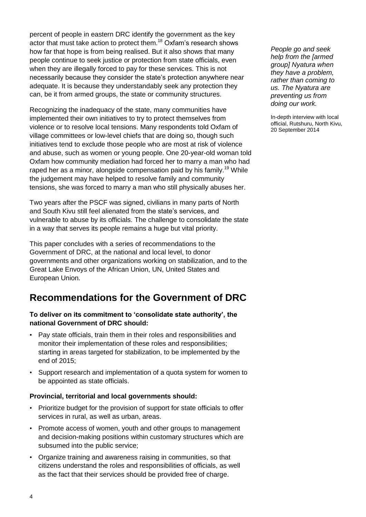percent of people in eastern DRC identify the government as the key actor that must take action to protect them.<sup>18</sup> Oxfam's research shows how far that hope is from being realised. But it also shows that many people continue to seek justice or protection from state officials, even when they are illegally forced to pay for these services. This is not necessarily because they consider the state's protection anywhere near adequate. It is because they understandably seek any protection they can, be it from armed groups, the state or community structures.

Recognizing the inadequacy of the state, many communities have implemented their own initiatives to try to protect themselves from violence or to resolve local tensions. Many respondents told Oxfam of village committees or low-level chiefs that are doing so, though such initiatives tend to exclude those people who are most at risk of violence and abuse, such as women or young people. One 20-year-old woman told Oxfam how community mediation had forced her to marry a man who had raped her as a minor, alongside compensation paid by his family.<sup>19</sup> While the judgement may have helped to resolve family and community tensions, she was forced to marry a man who still physically abuses her.

Two years after the PSCF was signed, civilians in many parts of North and South Kivu still feel alienated from the state's services, and vulnerable to abuse by its officials. The challenge to consolidate the state in a way that serves its people remains a huge but vital priority.

This paper concludes with a series of recommendations to the Government of DRC, at the national and local level, to donor governments and other organizations working on stabilization, and to the Great Lake Envoys of the African Union, UN, United States and European Union.

### **Recommendations for the Government of DRC**

#### **To deliver on its commitment to 'consolidate state authority', the national Government of DRC should:**

- Pay state officials, train them in their roles and responsibilities and monitor their implementation of these roles and responsibilities; starting in areas targeted for stabilization, to be implemented by the end of 2015;
- Support research and implementation of a quota system for women to be appointed as state officials.

#### **Provincial, territorial and local governments should:**

- Prioritize budget for the provision of support for state officials to offer services in rural, as well as urban, areas.
- Promote access of women, youth and other groups to management and decision-making positions within customary structures which are subsumed into the public service;
- Organize training and awareness raising in communities, so that citizens understand the roles and responsibilities of officials, as well as the fact that their services should be provided free of charge.

*People go and seek help from the [armed group] Nyatura when they have a problem, rather than coming to us. The Nyatura are preventing us from doing our work.*

In-depth interview with local official, Rutshuru, North Kivu, 20 September 2014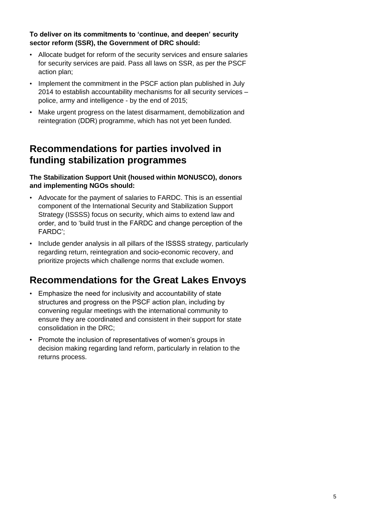**To deliver on its commitments to 'continue, and deepen' security sector reform (SSR), the Government of DRC should:** 

- Allocate budget for reform of the security services and ensure salaries for security services are paid. Pass all laws on SSR, as per the PSCF action plan;
- Implement the commitment in the PSCF action plan published in July 2014 to establish accountability mechanisms for all security services – police, army and intelligence - by the end of 2015;
- Make urgent progress on the latest disarmament, demobilization and reintegration (DDR) programme, which has not yet been funded.

### **Recommendations for parties involved in funding stabilization programmes**

**The Stabilization Support Unit (housed within MONUSCO), donors and implementing NGOs should:** 

- Advocate for the payment of salaries to FARDC. This is an essential component of the International Security and Stabilization Support Strategy (ISSSS) focus on security, which aims to extend law and order, and to 'build trust in the FARDC and change perception of the FARDC';
- Include gender analysis in all pillars of the ISSSS strategy, particularly regarding return, reintegration and socio-economic recovery, and prioritize projects which challenge norms that exclude women.

## **Recommendations for the Great Lakes Envoys**

- Emphasize the need for inclusivity and accountability of state structures and progress on the PSCF action plan, including by convening regular meetings with the international community to ensure they are coordinated and consistent in their support for state consolidation in the DRC;
- Promote the inclusion of representatives of women's groups in decision making regarding land reform, particularly in relation to the returns process.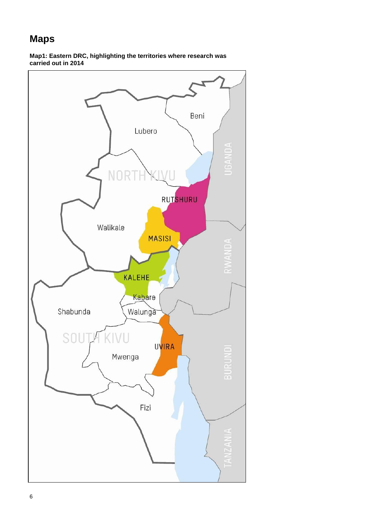## **Maps**

**Map1: Eastern DRC, highlighting the territories where research was carried out in 2014** 

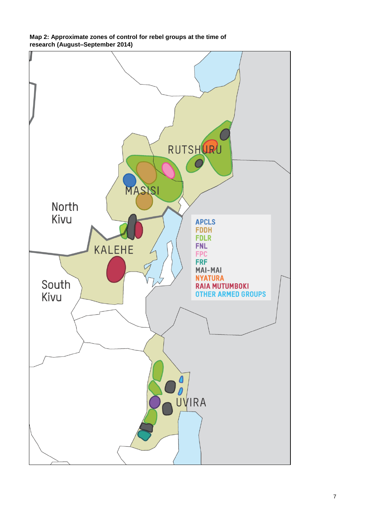**Map 2: Approximate zones of control for rebel groups at the time of research (August–September 2014)** 

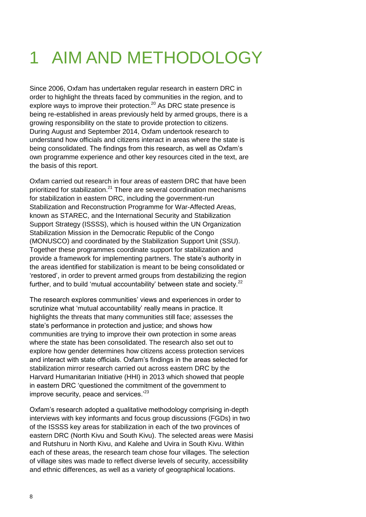## 1 AIM AND METHODOLOGY

Since 2006, Oxfam has undertaken regular research in eastern DRC in order to highlight the threats faced by communities in the region, and to explore ways to improve their protection. $^{20}$  As DRC state presence is being re-established in areas previously held by armed groups, there is a growing responsibility on the state to provide protection to citizens. During August and September 2014, Oxfam undertook research to understand how officials and citizens interact in areas where the state is being consolidated. The findings from this research, as well as Oxfam's own programme experience and other key resources cited in the text, are the basis of this report.

Oxfam carried out research in four areas of eastern DRC that have been prioritized for stabilization.<sup>21</sup> There are several coordination mechanisms for stabilization in eastern DRC, including the government-run Stabilization and Reconstruction Programme for War-Affected Areas, known as STAREC, and the International Security and Stabilization Support Strategy (ISSSS), which is housed within the UN Organization Stabilization Mission in the Democratic Republic of the Congo (MONUSCO) and coordinated by the Stabilization Support Unit (SSU). Together these programmes coordinate support for stabilization and provide a framework for implementing partners. The state's authority in the areas identified for stabilization is meant to be being consolidated or 'restored', in order to prevent armed groups from destabilizing the region further, and to build 'mutual accountability' between state and society.<sup>22</sup>

The research explores communities' views and experiences in order to scrutinize what 'mutual accountability' really means in practice. It highlights the threats that many communities still face; assesses the state's performance in protection and justice; and shows how communities are trying to improve their own protection in some areas where the state has been consolidated. The research also set out to explore how gender determines how citizens access protection services and interact with state officials. Oxfam's findings in the areas selected for stabilization mirror research carried out across eastern DRC by the Harvard Humanitarian Initiative (HHI) in 2013 which showed that people in eastern DRC 'questioned the commitment of the government to improve security, peace and services.<sup>23</sup>

Oxfam's research adopted a qualitative methodology comprising in-depth interviews with key informants and focus group discussions (FGDs) in two of the ISSSS key areas for stabilization in each of the two provinces of eastern DRC (North Kivu and South Kivu). The selected areas were Masisi and Rutshuru in North Kivu, and Kalehe and Uvira in South Kivu. Within each of these areas, the research team chose four villages. The selection of village sites was made to reflect diverse levels of security, accessibility and ethnic differences, as well as a variety of geographical locations.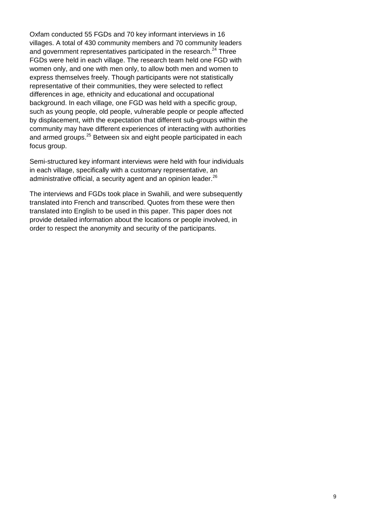Oxfam conducted 55 FGDs and 70 key informant interviews in 16 villages. A total of 430 community members and 70 community leaders and government representatives participated in the research.<sup>24</sup> Three FGDs were held in each village. The research team held one FGD with women only, and one with men only, to allow both men and women to express themselves freely. Though participants were not statistically representative of their communities, they were selected to reflect differences in age, ethnicity and educational and occupational background. In each village, one FGD was held with a specific group, such as young people, old people, vulnerable people or people affected by displacement, with the expectation that different sub-groups within the community may have different experiences of interacting with authorities and armed groups.<sup>25</sup> Between six and eight people participated in each focus group.

Semi-structured key informant interviews were held with four individuals in each village, specifically with a customary representative, an administrative official, a security agent and an opinion leader. $^{26}$ 

The interviews and FGDs took place in Swahili, and were subsequently translated into French and transcribed. Quotes from these were then translated into English to be used in this paper. This paper does not provide detailed information about the locations or people involved, in order to respect the anonymity and security of the participants.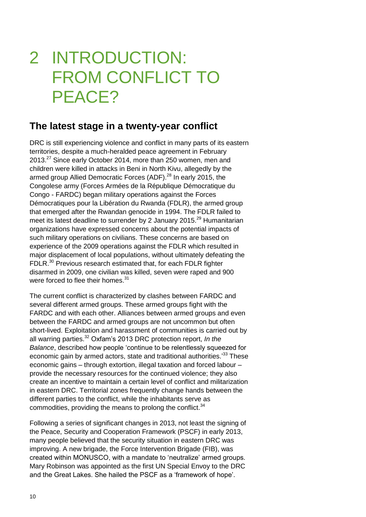## 2 INTRODUCTION: FROM CONFLICT TO PEACE?

### **The latest stage in a twenty-year conflict**

DRC is still experiencing violence and conflict in many parts of its eastern territories, despite a much-heralded peace agreement in February 2013.<sup>27</sup> Since early October 2014, more than 250 women, men and children were killed in attacks in Beni in North Kivu, allegedly by the armed group Allied Democratic Forces (ADF).<sup>28</sup> In early 2015, the Congolese army (Forces Armées de la République Démocratique du Congo - FARDC) began military operations against the Forces Démocratiques pour la Libération du Rwanda (FDLR), the armed group that emerged after the Rwandan genocide in 1994. The FDLR failed to meet its latest deadline to surrender by 2 January 2015.<sup>29</sup> Humanitarian organizations have expressed concerns about the potential impacts of such military operations on civilians. These concerns are based on experience of the 2009 operations against the FDLR which resulted in major displacement of local populations, without ultimately defeating the FDLR.<sup>30</sup> Previous research estimated that, for each FDLR fighter disarmed in 2009, one civilian was killed, seven were raped and 900 were forced to flee their homes.<sup>31</sup>

The current conflict is characterized by clashes between FARDC and several different armed groups. These armed groups fight with the FARDC and with each other. Alliances between armed groups and even between the FARDC and armed groups are not uncommon but often short-lived. Exploitation and harassment of communities is carried out by all warring parties.<sup>32</sup> Oxfam's 2013 DRC protection report, *In the Balance*, described how people 'continue to be relentlessly squeezed for economic gain by armed actors, state and traditional authorities.<sup>33</sup> These economic gains – through extortion, illegal taxation and forced labour – provide the necessary resources for the continued violence; they also create an incentive to maintain a certain level of conflict and militarization in eastern DRC. Territorial zones frequently change hands between the different parties to the conflict, while the inhabitants serve as commodities, providing the means to prolong the conflict.<sup>34</sup>

Following a series of significant changes in 2013, not least the signing of the Peace, Security and Cooperation Framework (PSCF) in early 2013, many people believed that the security situation in eastern DRC was improving. A new brigade, the Force Intervention Brigade (FIB), was created within MONUSCO, with a mandate to 'neutralize' armed groups. Mary Robinson was appointed as the first UN Special Envoy to the DRC and the Great Lakes. She hailed the PSCF as a 'framework of hope'.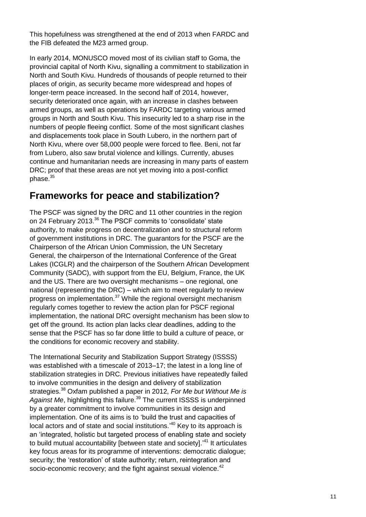This hopefulness was strengthened at the end of 2013 when FARDC and the FIB defeated the M23 armed group.

In early 2014, MONUSCO moved most of its civilian staff to Goma, the provincial capital of North Kivu, signalling a commitment to stabilization in North and South Kivu. Hundreds of thousands of people returned to their places of origin, as security became more widespread and hopes of longer-term peace increased. In the second half of 2014, however, security deteriorated once again, with an increase in clashes between armed groups, as well as operations by FARDC targeting various armed groups in North and South Kivu. This insecurity led to a sharp rise in the numbers of people fleeing conflict. Some of the most significant clashes and displacements took place in South Lubero, in the northern part of North Kivu, where over 58,000 people were forced to flee. Beni, not far from Lubero, also saw brutal violence and killings. Currently, abuses continue and humanitarian needs are increasing in many parts of eastern DRC; proof that these areas are not yet moving into a post-conflict phase.<sup>35</sup>

## **Frameworks for peace and stabilization?**

The PSCF was signed by the DRC and 11 other countries in the region on 24 February 2013.<sup>36</sup> The PSCF commits to 'consolidate' state authority, to make progress on decentralization and to structural reform of government institutions in DRC. The guarantors for the PSCF are the Chairperson of the African Union Commission, the UN Secretary General, the chairperson of the International Conference of the Great Lakes (ICGLR) and the chairperson of the Southern African Development Community (SADC), with support from the EU, Belgium, France, the UK and the US. There are two oversight mechanisms – one regional, one national (representing the DRC) – which aim to meet regularly to review progress on implementation.<sup>37</sup> While the regional oversight mechanism regularly comes together to review the action plan for PSCF regional implementation, the national DRC oversight mechanism has been slow to get off the ground. Its action plan lacks clear deadlines, adding to the sense that the PSCF has so far done little to build a culture of peace, or the conditions for economic recovery and stability.

The International Security and Stabilization Support Strategy (ISSSS) was established with a timescale of 2013–17; the latest in a long line of stabilization strategies in DRC. Previous initiatives have repeatedly failed to involve communities in the design and delivery of stabilization strategies.<sup>38</sup> Oxfam published a paper in 2012, *For Me but Without Me is*  Against Me, highlighting this failure.<sup>39</sup> The current ISSSS is underpinned by a greater commitment to involve communities in its design and implementation. One of its aims is to 'build the trust and capacities of local actors and of state and social institutions.'<sup>40</sup> Key to its approach is an 'integrated, holistic but targeted process of enabling state and society to build mutual accountability [between state and society].<sup>41</sup> It articulates key focus areas for its programme of interventions: democratic dialogue; security; the 'restoration' of state authority; return, reintegration and socio-economic recovery; and the fight against sexual violence.<sup>42</sup>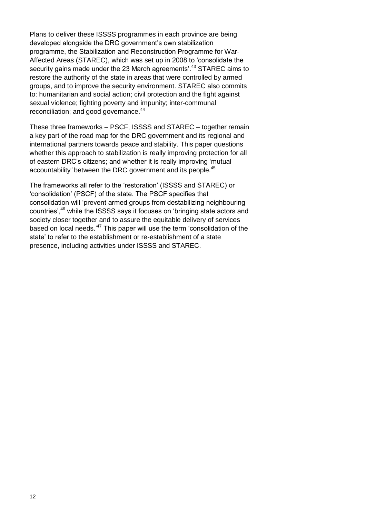Plans to deliver these ISSSS programmes in each province are being developed alongside the DRC government's own stabilization programme, the Stabilization and Reconstruction Programme for War-Affected Areas (STAREC), which was set up in 2008 to 'consolidate the security gains made under the 23 March agreements'.<sup>43</sup> STAREC aims to restore the authority of the state in areas that were controlled by armed groups, and to improve the security environment. STAREC also commits to: humanitarian and social action; civil protection and the fight against sexual violence; fighting poverty and impunity; inter-communal reconciliation; and good governance.<sup>44</sup>

These three frameworks – PSCF, ISSSS and STAREC – together remain a key part of the road map for the DRC government and its regional and international partners towards peace and stability. This paper questions whether this approach to stabilization is really improving protection for all of eastern DRC's citizens; and whether it is really improving 'mutual accountability' between the DRC government and its people.<sup>45</sup>

The frameworks all refer to the 'restoration' (ISSSS and STAREC) or 'consolidation' (PSCF) of the state. The PSCF specifies that consolidation will 'prevent armed groups from destabilizing neighbouring countries', <sup>46</sup> while the ISSSS says it focuses on 'bringing state actors and society closer together and to assure the equitable delivery of services based on local needs.<sup>147</sup> This paper will use the term 'consolidation of the state' to refer to the establishment or re-establishment of a state presence, including activities under ISSSS and STAREC.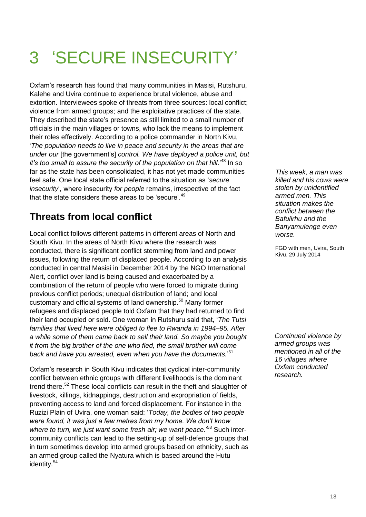## 3 'SECURE INSECURITY'

Oxfam's research has found that many communities in Masisi, Rutshuru, Kalehe and Uvira continue to experience brutal violence, abuse and extortion. Interviewees spoke of threats from three sources: local conflict; violence from armed groups; and the exploitative practices of the state. They described the state's presence as still limited to a small number of officials in the main villages or towns, who lack the means to implement their roles effectively. According to a police commander in North Kivu, '*The population needs to live in peace and security in the areas that are under our* [the government's] *control. We have deployed a police unit, but it's too small to assure the security of the population on that hill*.<sup>48</sup> In so far as the state has been consolidated, it has not yet made communities feel safe. One local state official referred to the situation as '*secure insecurity*', where insecurity *for people* remains, irrespective of the fact that the state considers these areas to be 'secure'.<sup>49</sup>

## **Threats from local conflict**

Local conflict follows different patterns in different areas of North and South Kivu. In the areas of North Kivu where the research was conducted, there is significant conflict stemming from land and power issues, following the return of displaced people. According to an analysis conducted in central Masisi in December 2014 by the NGO International Alert, conflict over land is being caused and exacerbated by a combination of the return of people who were forced to migrate during previous conflict periods; unequal distribution of land; and local customary and official systems of land ownership.<sup>50</sup> Many former refugees and displaced people told Oxfam that they had returned to find their land occupied or sold. One woman in Rutshuru said that, '*The Tutsi families that lived here were obliged to flee to Rwanda in 1994–95. After a while some of them came back to sell their land. So maybe you bought it from the big brother of the one who fled, the small brother will come back and have you arrested, even when you have the documents.*' 51

Oxfam's research in South Kivu indicates that cyclical inter-community conflict between ethnic groups with different livelihoods is the dominant trend there.<sup>52</sup> These local conflicts can result in the theft and slaughter of livestock, killings, kidnappings, destruction and expropriation of fields, preventing access to land and forced displacement. For instance in the Ruzizi Plain of Uvira, one woman said: '*Today, the bodies of two people were found, it was just a few metres from my home. We don"t know*  where to turn, we just want some fresh air; we want peace.<sup>'53</sup> Such intercommunity conflicts can lead to the setting-up of self-defence groups that in turn sometimes develop into armed groups based on ethnicity, such as an armed group called the Nyatura which is based around the Hutu identity.<sup>54</sup>

*This week, a man was killed and his cows were stolen by unidentified armed men. This situation makes the conflict between the Bafulirhu and the Banyamulenge even worse.* 

FGD with men, Uvira, South Kivu, 29 July 2014

*Continued violence by armed groups was mentioned in all of the 16 villages where Oxfam conducted research.*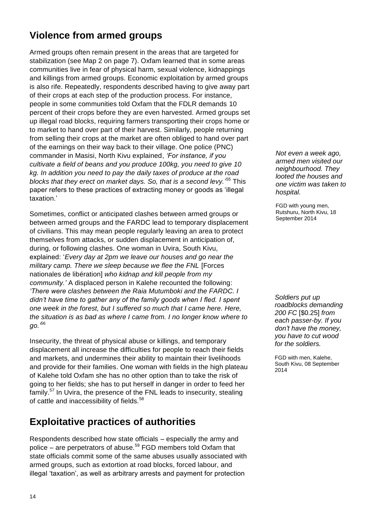## **Violence from armed groups**

Armed groups often remain present in the areas that are targeted for stabilization (see Map 2 on page 7). Oxfam learned that in some areas communities live in fear of physical harm, sexual violence, kidnappings and killings from armed groups. Economic exploitation by armed groups is also rife. Repeatedly, respondents described having to give away part of their crops at each step of the production process. For instance, people in some communities told Oxfam that the FDLR demands 10 percent of their crops before they are even harvested. Armed groups set up illegal road blocks, requiring farmers transporting their crops home or to market to hand over part of their harvest. Similarly, people returning from selling their crops at the market are often obliged to hand over part of the earnings on their way back to their village. One police (PNC) commander in Masisi, North Kivu explained, *"For instance, if you cultivate a field of beans and you produce 100kg, you need to give 10 kg. In addition you need to pay the daily taxes of produce at the road blocks that they erect on market days. So, that is a second levy.*' <sup>55</sup> This paper refers to these practices of extracting money or goods as 'illegal taxation.'

Sometimes, conflict or anticipated clashes between armed groups or between armed groups and the FARDC lead to temporary displacement of civilians. This may mean people regularly leaving an area to protect themselves from attacks, or sudden displacement in anticipation of, during, or following clashes. One woman in Uvira, South Kivu, explained: '*Every day at 2pm we leave our houses and go near the military camp. There we sleep because we flee the FNL* [Forces nationales de libération] *who kidnap and kill people from my community."* A displaced person in Kalehe recounted the following: *"There were clashes between the Raia Mutumboki and the FARDC. I didn"t have time to gather any of the family goods when I fled. I spent one week in the forest, but I suffered so much that I came here. Here, the situation is as bad as where I came from. I no longer know where to go."*<sup>56</sup>

Insecurity, the threat of physical abuse or killings, and temporary displacement all increase the difficulties for people to reach their fields and markets, and undermines their ability to maintain their livelihoods and provide for their families. One woman with fields in the high plateau of Kalehe told Oxfam she has no other option than to take the risk of going to her fields; she has to put herself in danger in order to feed her family. $57$  In Uvira, the presence of the FNL leads to insecurity, stealing of cattle and inaccessibility of fields.<sup>58</sup>

## **Exploitative practices of authorities**

Respondents described how state officials – especially the army and police – are perpetrators of abuse. $59$  FGD members told Oxfam that state officials commit some of the same abuses usually associated with armed groups, such as extortion at road blocks, forced labour, and illegal 'taxation', as well as arbitrary arrests and payment for protection

*Not even a week ago, armed men visited our neighbourhood. They looted the houses and one victim was taken to hospital.*

FGD with young men, Rutshuru, North Kivu, 18 September 2014

*Soldiers put up roadblocks demanding 200 FC* [\$0.25] *from each passer-by. If you don"t have the money, you have to cut wood for the soldiers.*

FGD with men, Kalehe, South Kivu, 08 September 2014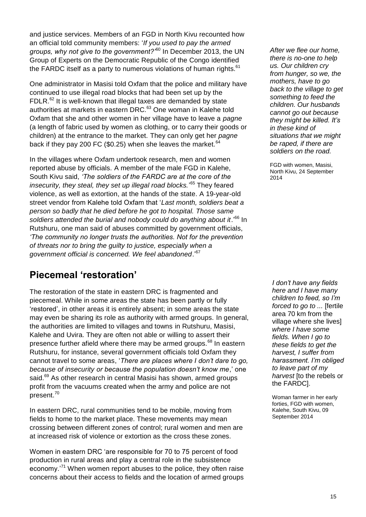and justice services. Members of an FGD in North Kivu recounted how an official told community members: '*If you used to pay the armed groups, why not give to the government?"*<sup>60</sup> In December 2013, the UN Group of Experts on the Democratic Republic of the Congo identified the FARDC itself as a party to numerous violations of human rights.<sup>61</sup>

One administrator in Masisi told Oxfam that the police and military have continued to use illegal road blocks that had been set up by the FDLR.<sup>62</sup> It is well-known that illegal taxes are demanded by state authorities at markets in eastern DRC.<sup>63</sup> One woman in Kalehe told Oxfam that she and other women in her village have to leave a *pagne* (a length of fabric used by women as clothing, or to carry their goods or children) at the entrance to the market. They can only get her *pagne*  back if they pay 200 FC (\$0.25) when she leaves the market. $64$ 

In the villages where Oxfam undertook research, men and women reported abuse by officials. A member of the male FGD in Kalehe, South Kivu said, *"The soldiers of the FARDC are at the core of the insecurity, they steal, they set up illegal road blocks.*' <sup>65</sup> They feared violence, as well as extortion, at the hands of the state. A 19-year-old street vendor from Kalehe told Oxfam that '*Last month, soldiers beat a person so badly that he died before he got to hospital. Those same*  soldiers attended the burial and nobody could do anything about it.<sup>'66</sup> In Rutshuru, one man said of abuses committed by government officials, *"The community no longer trusts the authorities. Not for the prevention of threats nor to bring the guilty to justice, especially when a government official is concerned. We feel abandoned*.' 67

### **Piecemeal 'restoration'**

The restoration of the state in eastern DRC is fragmented and piecemeal. While in some areas the state has been partly or fully 'restored', in other areas it is entirely absent; in some areas the state may even be sharing its role as authority with armed groups. In general, the authorities are limited to villages and towns in Rutshuru, Masisi, Kalehe and Uvira. They are often not able or willing to assert their presence further afield where there may be armed groups.<sup>68</sup> In eastern Rutshuru, for instance, several government officials told Oxfam they cannot travel to some areas, '*There are places where I don"t dare to go, because of insecurity or because the population doesn"t know me*,' one said.<sup>69</sup> As other research in central Masisi has shown, armed groups profit from the vacuums created when the army and police are not present.<sup>70</sup>

In eastern DRC, rural communities tend to be mobile, moving from fields to home to the market place. These movements may mean crossing between different zones of control; rural women and men are at increased risk of violence or extortion as the cross these zones.

Women in eastern DRC 'are responsible for 70 to 75 percent of food production in rural areas and play a central role in the subsistence economy.'<sup>71</sup> When women report abuses to the police, they often raise concerns about their access to fields and the location of armed groups

*After we flee our home, there is no-one to help us. Our children cry from hunger, so we, the mothers, have to go back to the village to get something to feed the children. Our husbands cannot go out because they might be killed. It"s in these kind of situations that we might be raped, if there are soldiers on the road.*

FGD with women, Masisi, North Kivu, 24 September 2014

*I don"t have any fields here and I have many children to feed, so I"m forced to go to ...* [fertile area 70 km from the village where she lives] *where I have some fields. When I go to these fields to get the harvest, I suffer from harassment. I"m obliged to leave part of my harvest* [to the rebels or the FARDC].

Woman farmer in her early forties, FGD with women, Kalehe, South Kivu, 09 September 2014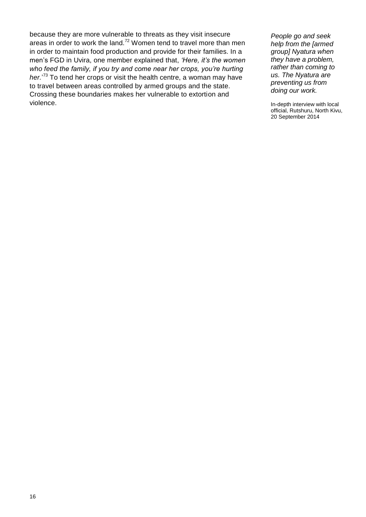because they are more vulnerable to threats as they visit insecure areas in order to work the land.<sup>72</sup> Women tend to travel more than men in order to maintain food production and provide for their families. In a men's FGD in Uvira, one member explained that, *"Here, it"s the women who feed the family, if you try and come near her crops, you"re hurting her.*' <sup>73</sup> To tend her crops or visit the health centre, a woman may have to travel between areas controlled by armed groups and the state. Crossing these boundaries makes her vulnerable to extortion and violence.

*People go and seek help from the [armed group] Nyatura when they have a problem, rather than coming to us. The Nyatura are preventing us from doing our work.*

In-depth interview with local official, Rutshuru, North Kivu, 20 September 2014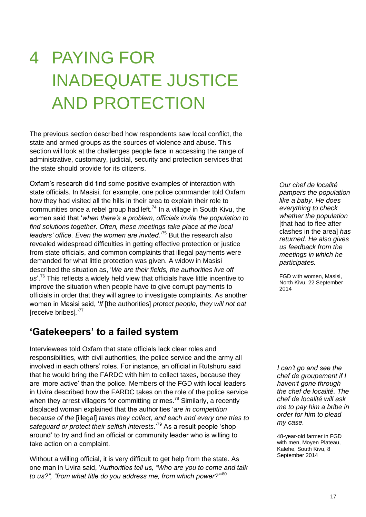## 4 PAYING FOR INADEQUATE JUSTICE AND PROTECTION

The previous section described how respondents saw local conflict, the state and armed groups as the sources of violence and abuse. This section will look at the challenges people face in accessing the range of administrative, customary, judicial, security and protection services that the state should provide for its citizens.

Oxfam's research did find some positive examples of interaction with state officials. In Masisi, for example, one police commander told Oxfam how they had visited all the hills in their area to explain their role to communities once a rebel group had left.<sup>74</sup> In a village in South Kivu, the women said that '*when there"s a problem, officials invite the population to find solutions together. Often, these meetings take place at the local leaders" office. Even the women are invited.*' <sup>75</sup> But the research also revealed widespread difficulties in getting effective protection or justice from state officials, and common complaints that illegal payments were demanded for what little protection was given. A widow in Masisi described the situation as, '*We are their fields, the authorities live off*  us'.<sup>76</sup> This reflects a widely held view that officials have little incentive to improve the situation when people have to give corrupt payments to officials in order that they will agree to investigate complaints. As another woman in Masisi said, '*If* [the authorities] *protect people, they will not eat*  [receive bribes]*.*' 77

### **'Gatekeepers' to a failed system**

Interviewees told Oxfam that state officials lack clear roles and responsibilities, with civil authorities, the police service and the army all involved in each others' roles. For instance, an official in Rutshuru said that he would bring the FARDC with him to collect taxes, because they are 'more active' than the police. Members of the FGD with local leaders in Uvira described how the FARDC takes on the role of the police service when they arrest villagers for committing crimes.<sup>78</sup> Similarly, a recently displaced woman explained that the authorities '*are in competition because of the* [illegal] *taxes they collect, and each and every one tries to safeguard or protect their selfish interests*.'<sup>79</sup> As a result people 'shop around' to try and find an official or community leader who is willing to take action on a complaint.

Without a willing official, it is very difficult to get help from the state. As one man in Uvira said, 'A*uthorities tell us, "Who are you to come and talk*  to us?", "from what title do you address me, from which power?"<sup>80</sup>

*Our chef de localité pampers the population like a baby. He does everything to check whether the population*  [that had to flee after clashes in the area] *has returned. He also gives us feedback from the meetings in which he participates.*

FGD with women, Masisi, North Kivu, 22 September 2014

*I can"t go and see the chef de groupement if I haven"t gone through the chef de localité. The chef de localité will ask me to pay him a bribe in order for him to plead my case.* 

48-year-old farmer in FGD with men, Moyen Plateau, Kalehe, South Kivu, 8 September 2014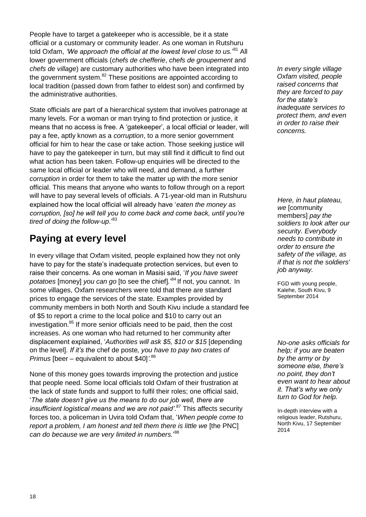People have to target a gatekeeper who is accessible, be it a state official or a customary or community leader. As one woman in Rutshuru told Oxfam, *'We approach the official at the lowest level close to us.'<sup>81</sup> All* lower government officials (*chefs de chefferie*, *chefs de groupement* and *chefs de village*) are customary authorities who have been integrated into the government system. $82$  These positions are appointed according to local tradition (passed down from father to eldest son) and confirmed by the administrative authorities.

State officials are part of a hierarchical system that involves patronage at many levels. For a woman or man trying to find protection or justice, it means that no access is free. A 'gatekeeper', a local official or leader, will pay a fee, aptly known as a *corruption*, to a more senior government official for him to hear the case or take action. Those seeking justice will have to pay the gatekeeper in turn, but may still find it difficult to find out what action has been taken. Follow-up enquiries will be directed to the same local official or leader who will need, and demand, a further *corruption* in order for them to take the matter up with the more senior official. This means that anyone who wants to follow through on a report will have to pay several levels of officials. A 71-year-old man in Rutshuru explained how the local official will already have '*eaten the money as corruption, [so] he will tell you to come back and come back, until you"re tired of doing the follow-up*.'<sup>83</sup>

## **Paying at every level**

In every village that Oxfam visited, people explained how they not only have to pay for the state's inadequate protection services, but even to raise their concerns. As one woman in Masisi said, '*If you have sweet*  potatoes [money] *you can go* [to see the chief].<sup>'84</sup> If not, you cannot. In some villages, Oxfam researchers were told that there are standard prices to engage the services of the state. Examples provided by community members in both North and South Kivu include a standard fee of \$5 to report a crime to the local police and \$10 to carry out an investigation.<sup>85</sup> If more senior officials need to be paid, then the cost increases. As one woman who had returned to her community after displacement explained, '*Authorities will ask \$5, \$10 or \$15* [depending on the level]*. If it"s the* chef de poste*, you have to pay two crates of Primus* [beer – equivalent to about \$40]*".*<sup>86</sup>

None of this money goes towards improving the protection and justice that people need. Some local officials told Oxfam of their frustration at the lack of state funds and support to fulfil their roles; one official said, '*The state doesn"t give us the means to do our job well, there are*  insufficient logistical means and we are not paid'.<sup>87</sup> This affects security forces too, a policeman in Uvira told Oxfam that, '*When people come to report a problem, I am honest and tell them there is little we* [the PNC] *can do because we are very limited in numbers.*' 88

*In every single village Oxfam visited, people raised concerns that they are forced to pay for the state"s inadequate services to protect them, and even in order to raise their concerns.*

*Here, in haut plateau, we* [community members] *pay the soldiers to look after our security. Everybody needs to contribute in order to ensure the safety of the village, as if that is not the soldiers' job anyway.* 

FGD with young people, Kalehe, South Kivu, 9 September 2014

*No-one asks officials for help; if you are beaten by the army or by someone else, there"s no point, they don"t even want to hear about it. That"s why we only turn to God for help.*

In-depth interview with a religious leader, Rutshuru, North Kivu, 17 September 2014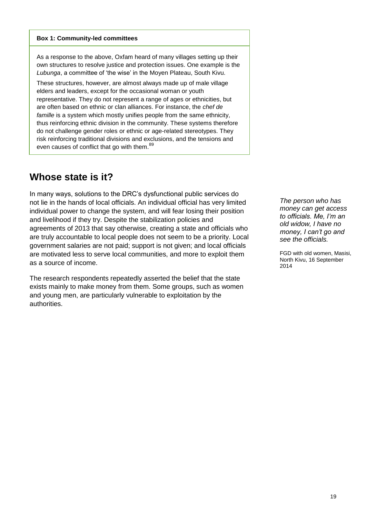#### **Box 1: Community-led committees**

As a response to the above, Oxfam heard of many villages setting up their own structures to resolve justice and protection issues. One example is the *Lubunga*, a committee of 'the wise' in the Moyen Plateau, South Kivu.

These structures, however, are almost always made up of male village elders and leaders, except for the occasional woman or youth representative. They do not represent a range of ages or ethnicities, but are often based on ethnic or clan alliances. For instance, the *chef de famille* is a system which mostly unifies people from the same ethnicity, thus reinforcing ethnic division in the community. These systems therefore do not challenge gender roles or ethnic or age-related stereotypes. They risk reinforcing traditional divisions and exclusions, and the tensions and even causes of conflict that go with them.<sup>89</sup>

### **Whose state is it?**

In many ways, solutions to the DRC's dysfunctional public services do not lie in the hands of local officials. An individual official has very limited individual power to change the system, and will fear losing their position and livelihood if they try. Despite the stabilization policies and agreements of 2013 that say otherwise, creating a state and officials who are truly accountable to local people does not seem to be a priority. Local government salaries are not paid; support is not given; and local officials are motivated less to serve local communities, and more to exploit them as a source of income.

The research respondents repeatedly asserted the belief that the state exists mainly to make money from them. Some groups, such as women and young men, are particularly vulnerable to exploitation by the authorities.

*The person who has money can get access to officials. Me, I"m an old widow, I have no money, I can"t go and see the officials.* 

FGD with old women, Masisi, North Kivu, 16 September 2014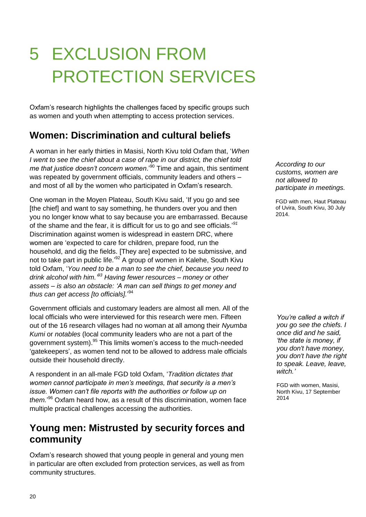## 5 EXCLUSION FROM PROTECTION SERVICES

Oxfam's research highlights the challenges faced by specific groups such as women and youth when attempting to access protection services.

## **Women: Discrimination and cultural beliefs**

A woman in her early thirties in Masisi, North Kivu told Oxfam that, '*When I went to see the chief about a case of rape in our district, the chief told*  me that justice doesn't concern women.<sup>'90</sup> Time and again, this sentiment was repeated by government officials, community leaders and others – and most of all by the women who participated in Oxfam's research.

One woman in the Moyen Plateau, South Kivu said, 'If you go and see [the chief] and want to say something, he thunders over you and then you no longer know what to say because you are embarrassed. Because of the shame and the fear, it is difficult for us to go and see officials.' *91* Discrimination against women is widespread in eastern DRC, where women are 'expected to care for children, prepare food, run the household, and dig the fields. [They are] expected to be submissive, and not to take part in public life.'<sup>92</sup> A group of women in Kalehe, South Kivu told Oxfam, '*You need to be a man to see the chief, because you need to drink alcohol with him." <sup>93</sup> Having fewer resources – money or other assets – is also an obstacle: "A man can sell things to get money and thus can get access [to officials].*' 94

Government officials and customary leaders are almost all men. All of the local officials who were interviewed for this research were men. Fifteen out of the 16 research villages had no woman at all among their *Nyumba Kumi* or *notables* (local community leaders who are not a part of the government system).<sup>95</sup> This limits women's access to the much-needed 'gatekeepers', as women tend not to be allowed to address male officials outside their household directly.

A respondent in an all-male FGD told Oxfam, '*Tradition dictates that women cannot participate in men"s meetings, that security is a men"s issue. Women can"t file reports with the authorities or follow up on them.*' <sup>96</sup> Oxfam heard how, as a result of this discrimination, women face multiple practical challenges accessing the authorities.

### **Young men: Mistrusted by security forces and community**

Oxfam's research showed that young people in general and young men in particular are often excluded from protection services, as well as from community structures.

*According to our customs, women are not allowed to participate in meetings.*

FGD with men, Haut Plateau of Uvira, South Kivu, 30 July 2014.

*You"re called a witch if you go see the chiefs. I once did and he said, "the state is money, if you don't have money, you don't have the right to speak. Leave, leave, witch."* 

FGD with women, Masisi, North Kivu, 17 September 2014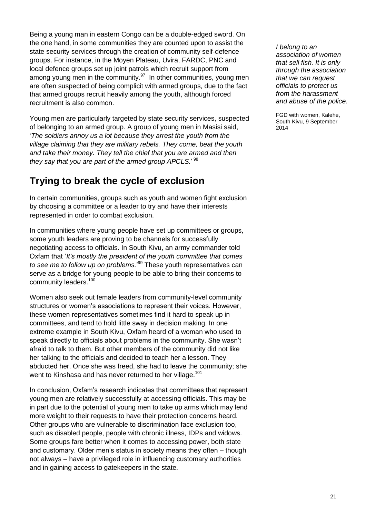Being a young man in eastern Congo can be a double-edged sword. On the one hand, in some communities they are counted upon to assist the state security services through the creation of community self-defence groups. For instance, in the Moyen Plateau, Uvira, FARDC, PNC and local defence groups set up joint patrols which recruit support from among young men in the community.<sup>97</sup> In other communities, young men are often suspected of being complicit with armed groups, due to the fact that armed groups recruit heavily among the youth, although forced recruitment is also common.

Young men are particularly targeted by state security services, suspected of belonging to an armed group. A group of young men in Masisi said, '*The soldiers annoy us a lot because they arrest the youth from the village claiming that they are military rebels. They come, beat the youth and take their money. They tell the chief that you are armed and then they say that you are part of the armed group APCLS.*' 98

## **Trying to break the cycle of exclusion**

In certain communities, groups such as youth and women fight exclusion by choosing a committee or a leader to try and have their interests represented in order to combat exclusion.

In communities where young people have set up committees or groups, some youth leaders are proving to be channels for successfully negotiating access to officials. In South Kivu, an army commander told Oxfam that '*It"s mostly the president of the youth committee that comes to see me to follow up on problems.*' <sup>99</sup> These youth representatives can serve as a bridge for young people to be able to bring their concerns to community leaders.<sup>100</sup>

Women also seek out female leaders from community-level community structures or women's associations to represent their voices. However, these women representatives sometimes find it hard to speak up in committees, and tend to hold little sway in decision making. In one extreme example in South Kivu, Oxfam heard of a woman who used to speak directly to officials about problems in the community. She wasn't afraid to talk to them. But other members of the community did not like her talking to the officials and decided to teach her a lesson. They abducted her. Once she was freed, she had to leave the community; she went to Kinshasa and has never returned to her village.<sup>101</sup>

In conclusion, Oxfam's research indicates that committees that represent young men are relatively successfully at accessing officials. This may be in part due to the potential of young men to take up arms which may lend more weight to their requests to have their protection concerns heard. Other groups who are vulnerable to discrimination face exclusion too, such as disabled people, people with chronic illness, IDPs and widows. Some groups fare better when it comes to accessing power, both state and customary. Older men's status in society means they often – though not always – have a privileged role in influencing customary authorities and in gaining access to gatekeepers in the state.

*I belong to an association of women that sell fish. It is only through the association that we can request officials to protect us from the harassment and abuse of the police.* 

FGD with women, Kalehe, South Kivu, 9 September 2014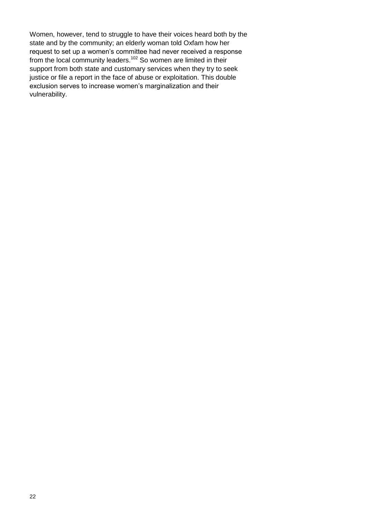Women, however, tend to struggle to have their voices heard both by the state and by the community; an elderly woman told Oxfam how her request to set up a women's committee had never received a response from the local community leaders.<sup>102</sup> So women are limited in their support from both state and customary services when they try to seek justice or file a report in the face of abuse or exploitation. This double exclusion serves to increase women's marginalization and their vulnerability.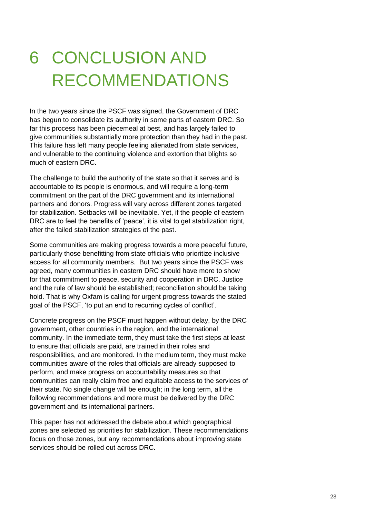## 6 CONCLUSION AND RECOMMENDATIONS

In the two years since the PSCF was signed, the Government of DRC has begun to consolidate its authority in some parts of eastern DRC. So far this process has been piecemeal at best, and has largely failed to give communities substantially more protection than they had in the past. This failure has left many people feeling alienated from state services, and vulnerable to the continuing violence and extortion that blights so much of eastern DRC.

The challenge to build the authority of the state so that it serves and is accountable to its people is enormous, and will require a long-term commitment on the part of the DRC government and its international partners and donors. Progress will vary across different zones targeted for stabilization. Setbacks will be inevitable. Yet, if the people of eastern DRC are to feel the benefits of 'peace', it is vital to get stabilization right, after the failed stabilization strategies of the past.

Some communities are making progress towards a more peaceful future, particularly those benefitting from state officials who prioritize inclusive access for all community members. But two years since the PSCF was agreed, many communities in eastern DRC should have more to show for that commitment to peace, security and cooperation in DRC. Justice and the rule of law should be established; reconciliation should be taking hold. That is why Oxfam is calling for urgent progress towards the stated goal of the PSCF, 'to put an end to recurring cycles of conflict'.

Concrete progress on the PSCF must happen without delay, by the DRC government, other countries in the region, and the international community. In the immediate term, they must take the first steps at least to ensure that officials are paid, are trained in their roles and responsibilities, and are monitored. In the medium term, they must make communities aware of the roles that officials are already supposed to perform, and make progress on accountability measures so that communities can really claim free and equitable access to the services of their state. No single change will be enough; in the long term, all the following recommendations and more must be delivered by the DRC government and its international partners.

This paper has not addressed the debate about which geographical zones are selected as priorities for stabilization. These recommendations focus on those zones, but any recommendations about improving state services should be rolled out across DRC.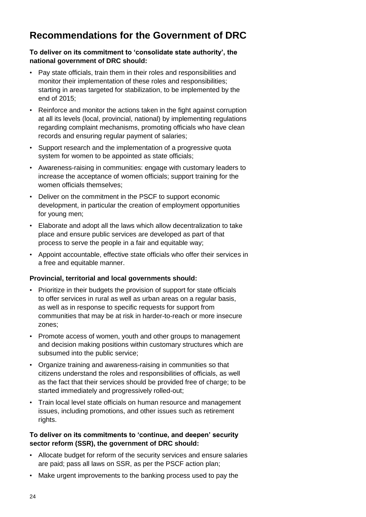## **Recommendations for the Government of DRC**

#### **To deliver on its commitment to 'consolidate state authority', the national government of DRC should:**

- Pay state officials, train them in their roles and responsibilities and monitor their implementation of these roles and responsibilities; starting in areas targeted for stabilization, to be implemented by the end of 2015;
- Reinforce and monitor the actions taken in the fight against corruption at all its levels (local, provincial, national) by implementing regulations regarding complaint mechanisms, promoting officials who have clean records and ensuring regular payment of salaries;
- Support research and the implementation of a progressive quota system for women to be appointed as state officials;
- Awareness-raising in communities: engage with customary leaders to increase the acceptance of women officials; support training for the women officials themselves;
- Deliver on the commitment in the PSCF to support economic development, in particular the creation of employment opportunities for young men;
- Elaborate and adopt all the laws which allow decentralization to take place and ensure public services are developed as part of that process to serve the people in a fair and equitable way;
- Appoint accountable, effective state officials who offer their services in a free and equitable manner.

#### **Provincial, territorial and local governments should:**

- Prioritize in their budgets the provision of support for state officials to offer services in rural as well as urban areas on a regular basis, as well as in response to specific requests for support from communities that may be at risk in harder-to-reach or more insecure zones;
- Promote access of women, youth and other groups to management and decision making positions within customary structures which are subsumed into the public service;
- Organize training and awareness-raising in communities so that citizens understand the roles and responsibilities of officials, as well as the fact that their services should be provided free of charge; to be started immediately and progressively rolled-out;
- Train local level state officials on human resource and management issues, including promotions, and other issues such as retirement rights.

#### **To deliver on its commitments to 'continue, and deepen' security sector reform (SSR), the government of DRC should:**

- Allocate budget for reform of the security services and ensure salaries are paid; pass all laws on SSR, as per the PSCF action plan;
- Make urgent improvements to the banking process used to pay the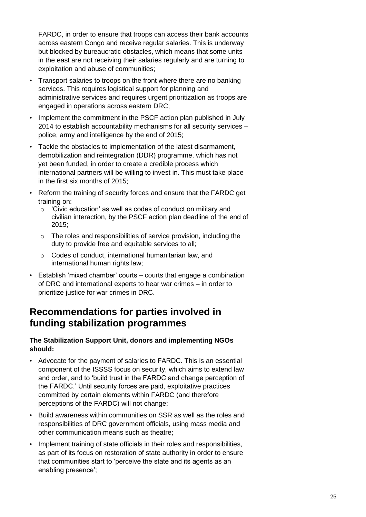FARDC, in order to ensure that troops can access their bank accounts across eastern Congo and receive regular salaries. This is underway but blocked by bureaucratic obstacles, which means that some units in the east are not receiving their salaries regularly and are turning to exploitation and abuse of communities;

- Transport salaries to troops on the front where there are no banking services. This requires logistical support for planning and administrative services and requires urgent prioritization as troops are engaged in operations across eastern DRC;
- Implement the commitment in the PSCF action plan published in July 2014 to establish accountability mechanisms for all security services – police, army and intelligence by the end of 2015;
- Tackle the obstacles to implementation of the latest disarmament, demobilization and reintegration (DDR) programme, which has not yet been funded, in order to create a credible process which international partners will be willing to invest in. This must take place in the first six months of 2015;
- Reform the training of security forces and ensure that the FARDC get training on:
	- o 'Civic education' as well as codes of conduct on military and civilian interaction, by the PSCF action plan deadline of the end of 2015;
	- o The roles and responsibilities of service provision, including the duty to provide free and equitable services to all;
	- o Codes of conduct, international humanitarian law, and international human rights law;
- Establish 'mixed chamber' courts courts that engage a combination of DRC and international experts to hear war crimes – in order to prioritize justice for war crimes in DRC.

### **Recommendations for parties involved in funding stabilization programmes**

#### **The Stabilization Support Unit, donors and implementing NGOs should:**

- Advocate for the payment of salaries to FARDC. This is an essential component of the ISSSS focus on security, which aims to extend law and order, and to 'build trust in the FARDC and change perception of the FARDC.' Until security forces are paid, exploitative practices committed by certain elements within FARDC (and therefore perceptions of the FARDC) will not change;
- Build awareness within communities on SSR as well as the roles and responsibilities of DRC government officials, using mass media and other communication means such as theatre;
- Implement training of state officials in their roles and responsibilities, as part of its focus on restoration of state authority in order to ensure that communities start to 'perceive the state and its agents as an enabling presence';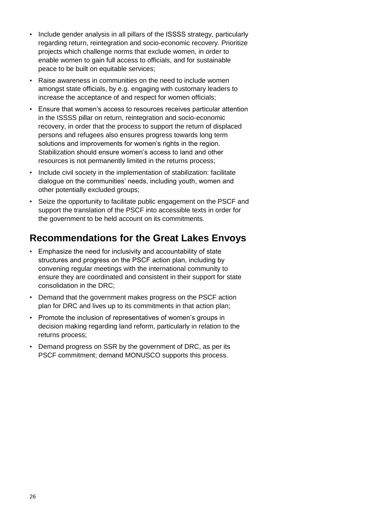- Include gender analysis in all pillars of the ISSSS strategy, particularly regarding return, reintegration and socio-economic recovery. Prioritize projects which challenge norms that exclude women, in order to enable women to gain full access to officials, and for sustainable peace to be built on equitable services;
- Raise awareness in communities on the need to include women amongst state officials, by e.g. engaging with customary leaders to increase the acceptance of and respect for women officials;
- Ensure that women's access to resources receives particular attention in the ISSSS pillar on return, reintegration and socio-economic recovery, in order that the process to support the return of displaced persons and refugees also ensures progress towards long term solutions and improvements for women's rights in the region. Stabilization should ensure women's access to land and other resources is not permanently limited in the returns process;
- Include civil society in the implementation of stabilization: facilitate dialogue on the communities' needs, including youth, women and other potentially excluded groups;
- Seize the opportunity to facilitate public engagement on the PSCF and support the translation of the PSCF into accessible texts in order for the government to be held account on its commitments.

### **Recommendations for the Great Lakes Envoys**

- Emphasize the need for inclusivity and accountability of state structures and progress on the PSCF action plan, including by convening regular meetings with the international community to ensure they are coordinated and consistent in their support for state consolidation in the DRC;
- Demand that the government makes progress on the PSCF action plan for DRC and lives up to its commitments in that action plan;
- Promote the inclusion of representatives of women's groups in decision making regarding land reform, particularly in relation to the returns process;
- Demand progress on SSR by the government of DRC, as per its PSCF commitment; demand MONUSCO supports this process.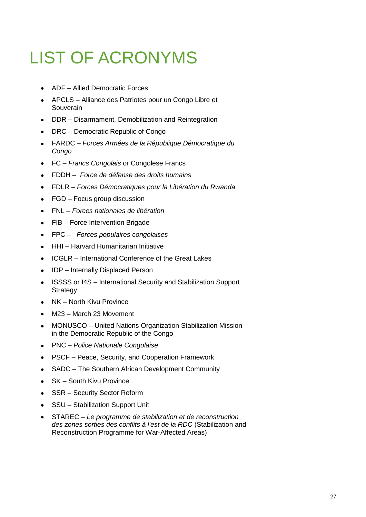## LIST OF ACRONYMS

- ADF Allied Democratic Forces
- APCLS Alliance des Patriotes pour un Congo Libre et **Souverain**
- DDR Disarmament, Demobilization and Reintegration
- DRC Democratic Republic of Congo
- FARDC *Forces Armées de la République Démocratique du Congo*
- FC *Francs Congolais* or Congolese Francs  $\bullet$
- FDDH *Force de défense des droits humains*  $\bullet$
- FDLR *Forces Démocratiques pour la Libération du Rwanda*
- FGD Focus group discussion  $\bullet$
- FNL *Forces nationales de libération*
- FIB Force Intervention Brigade  $\bullet$
- FPC *Forces populaires congolaises*
- HHI Harvard Humanitarian Initiative
- ICGLR International Conference of the Great Lakes
- IDP Internally Displaced Person
- ISSSS or I4S International Security and Stabilization Support **Strategy**
- NK North Kivu Province
- M23 March 23 Movement
- MONUSCO United Nations Organization Stabilization Mission in the Democratic Republic of the Congo
- PNC *Police Nationale Congolaise*
- PSCF Peace, Security, and Cooperation Framework  $\bullet$
- SADC The Southern African Development Community  $\bullet$
- SK South Kivu Province  $\bullet$
- SSR Security Sector Reform
- SSU Stabilization Support Unit
- STAREC *Le programme de stabilization et de reconstruction*   $\bullet$ *des zones sorties des conflits à l'est de la RDC* (Stabilization and Reconstruction Programme for War-Affected Areas)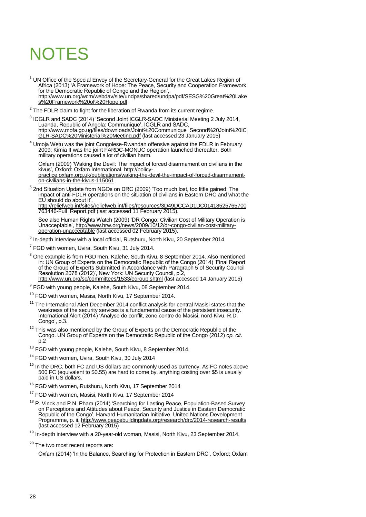## **NOTES**

- <sup>1</sup> UN Office of the Special Envoy of the Secretary-General for the Great Lakes Region of Africa (2013) 'A Framework of Hope: The Peace, Security and Cooperation Framework for the Democratic Republic of Congo and the Region', [http://www.un.org/wcm/webdav/site/undpa/shared/undpa/pdf/SESG%20Great%20Lake](http://www.un.org/wcm/webdav/site/undpa/shared/undpa/pdf/SESG%20Great%20Lakes%20Framework%20of%20Hope.pdf) [s%20Framework%20of%20Hope.pdf](http://www.un.org/wcm/webdav/site/undpa/shared/undpa/pdf/SESG%20Great%20Lakes%20Framework%20of%20Hope.pdf)
- $2$  The FDLR claim to fight for the liberation of Rwanda from its current regime.
- <sup>3</sup> ICGLR and SADC (2014) 'Second Joint ICGLR-SADC Ministerial Meeting 2 July 2014, Luanda, Republic of Angola: Communique', ICGLR and SADC, [http://www.mofa.go.ug/files/downloads/Joint%20Communique\\_Second%20Joint%20IC](http://www.mofa.go.ug/files/downloads/Joint%20Communique_Second%20Joint%20ICGLR-SADC%20Ministerial%20Meeting.pdf) [GLR-SADC%20Ministerial%20Meeting.pdf](http://www.mofa.go.ug/files/downloads/Joint%20Communique_Second%20Joint%20ICGLR-SADC%20Ministerial%20Meeting.pdf) (last accessed 23 January 2015)
- <sup>4</sup> Umoja Wetu was the joint Congolese-Rwandan offensive against the FDLR in February 2009; Kimia II was the joint FARDC-MONUC operation launched thereafter. Both military operations caused a lot of civilian harm.

Oxfam (2009) 'Waking the Devil: The impact of forced disarmament on civilians in the kivus', Oxford: Oxfam International, [http://policy](http://policy-practice.oxfam.org.uk/publications/waking-the-devil-the-impact-of-forced-disarmament-on-civilians-in-the-kivus-115061)[practice.oxfam.org.uk/publications/waking-the-devil-the-impact-of-forced-disarmament](http://policy-practice.oxfam.org.uk/publications/waking-the-devil-the-impact-of-forced-disarmament-on-civilians-in-the-kivus-115061)[on-civilians-in-the-kivus-115061](http://policy-practice.oxfam.org.uk/publications/waking-the-devil-the-impact-of-forced-disarmament-on-civilians-in-the-kivus-115061) 

<sup>5</sup> 2nd Situation Update from NGOs on DRC (2009) 'Too much lost, too little gained: The impact of anti-FDLR operations on the situation of civilians in Eastern DRC and what the EU should do about it',

[http://reliefweb.int/sites/reliefweb.int/files/resources/3D49DCCAD1DC01418525765700](http://reliefweb.int/sites/reliefweb.int/files/resources/3D49DCCAD1DC01418525765700763446-Full_Report.pdf) [763446-Full\\_Report.pdf](http://reliefweb.int/sites/reliefweb.int/files/resources/3D49DCCAD1DC01418525765700763446-Full_Report.pdf) (last accessed 11 February 2015).

See also Human Rights Watch (2009) 'DR Congo: Civilian Cost of Military Operation is Unacceptable', [http://www.hrw.org/news/2009/10/12/dr-congo-civilian-cost-military](http://www.hrw.org/news/2009/10/12/dr-congo-civilian-cost-military-operation-unacceptable)[operation-unacceptable \(](http://www.hrw.org/news/2009/10/12/dr-congo-civilian-cost-military-operation-unacceptable)last accessed 02 February 2015).

 $^6$  In-depth interview with a local official, Rutshuru, North Kivu, 20 September 2014

 $7$  FGD with women, Uvira, South Kivu, 31 July 2014.

- <sup>8</sup> One example is from FGD men, Kalehe, South Kivu, 8 September 2014. Also mentioned in: UN Group of Experts on the Democratic Republic of the Congo (2014) 'Final Report of the Group of Experts Submitted in Accordance with Paragraph 5 of Security Council Resolution 2078 (2012)', New York: UN Security Council, p.2, <http://www.un.org/sc/committees/1533/egroup.shtml>(last accessed 14 January 2015)
- <sup>9</sup> FGD with young people, Kalehe, South Kivu, 08 September 2014.
- <sup>10</sup> FGD with women, Masisi, North Kivu, 17 September 2014.
- <sup>11</sup> The International Alert December 2014 conflict analysis for central Masisi states that the weakness of the security services is a fundamental cause of the persistent insecurity. International Alert (2014) 'Analyse de conflit, zone centre de Masisi, nord-Kivu, R.D. Congo', p.3.
- $12$  This was also mentioned by the Group of Experts on the Democratic Republic of the Congo. UN Group of Experts on the Democratic Republic of the Congo (2012) *op. cit*. p.2
- <sup>13</sup> FGD with young people, Kalehe, South Kivu, 8 September 2014.
- <sup>14</sup> FGD with women, Uvira, South Kivu, 30 July 2014
- $15$  In the DRC, both FC and US dollars are commonly used as currency. As FC notes above 500 FC (equivalent to \$0.55) are hard to come by, anything costing over \$5 is usually paid in US dollars.
- <sup>16</sup> FGD with women, Rutshuru, North Kivu, 17 September 2014
- <sup>17</sup> FGD with women, Masisi, North Kivu, 17 September 2014
- $18$  P. Vinck and P.N. Pham (2014) 'Searching for Lasting Peace, Population-Based Survey on Perceptions and Attitudes about Peace, Security and Justice in Eastern Democratic Republic of the Congo', Harvard Humanitarian Initiative, United Nations Development Programme, p. ii[, http://www.peacebuildingdata.org/research/drc/2014-research-results](http://www.peacebuildingdata.org/research/drc/2014-research-results) (last accessed 12 February 2015)

 $19$  In-depth interview with a 20-year-old woman, Masisi, North Kivu, 23 September 2014.

Oxfam (2014) 'In the Balance, Searching for Protection in Eastern DRC', Oxford: Oxfam

<sup>&</sup>lt;sup>20</sup> The two most recent reports are: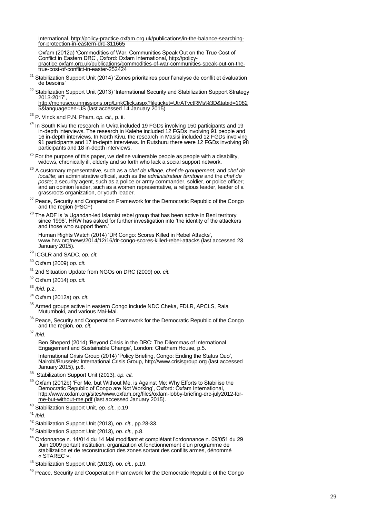International, http://policy-practice.oxfam.org.uk/publications/in-the-balance-searching-<br>for-protection-in-eastern-drc-311665

f<u>or-protection-in-eastern-drc-311665</u><br>Oxfam (2012a) 'Commodities of War, Communities Speak Out on the True Cost of Conflict in Eastern DRC', Oxford: Oxfam International[, http://policy](http://policy-practice.oxfam.org.uk/publications/commodities-of-war-communities-speak-out-on-the-true-cost-of-conflict-in-easter-252424)[practice.oxfam.org.uk/publications/commodities-of-war-communities-speak-out](http://policy-practice.oxfam.org.uk/publications/commodities-of-war-communities-speak-out-on-the-true-cost-of-conflict-in-easter-252424) -on-the[true-cost-of-conflict-in-easter-252424](http://policy-practice.oxfam.org.uk/publications/commodities-of-war-communities-speak-out-on-the-true-cost-of-conflict-in-easter-252424) 

- Stabilization Support Unit (2014) 'Zones prioritaires pour l'analyse de conflit et évaluation de besoins'
- <sup>22</sup> Stabilization Support Unit (2013) 'International Security and Stabilization Support Strategy 2013 -2017',

[http://monusco.unmissions.org/LinkClick.aspx?fileticket=UtrATvctRMs%3D&tabid=1082](http://monusco.unmissions.org/LinkClick.aspx?fileticket=UtrATvctRMs%3D&tabid=10825&language=en-US) [5&language=en-US](http://monusco.unmissions.org/LinkClick.aspx?fileticket=UtrATvctRMs%3D&tabid=10825&language=en-US) (last accessed 14 January 2015)

<sup>23</sup> P. Vinck and P.N. Pham, *op. cit.*, p. ii.

 $24$  In South Kivu the research in Uvira included 19 FGDs involving 150 participants and 19 in-depth interviews. The research in Kalehe included 12 FGDs involving 91 people and 16 in-depth interviews. In North Kivu, the research in Masisi included 12 FGDs involving 91 participants and 17 in-depth interviews. In Rutshuru there were 12 FGDs involving 98 participants and 18 in-depth interviews.

 $25$  For the purpose of this paper, we define vulnerable people as people with a disability, widows, chronically ill, elderly and so forth who lack a social support network.

- <sup>26</sup> A customary representative, such as a *chef de village*, *chef de groupement*, and *chef de localite*; an administrative official, such as the *administrateur territoire* and the *chef de poste*; a security agent, such as a police or army commander, soldier, or police officer; and an opinion leader, such as a women representative, a religious leader, leader of a grassroots organization, or youth leader.
- <sup>27</sup> Peace, Security and Cooperation Framework for the Democratic Republic of the Congo and the region (PSCF)
- $^{28}$  The ADF is 'a Ugandan-led Islamist rebel group that has been active in Beni territory since 1996'. HRW has asked for further investigation into 'the identity of the attackers and those who support them.'

Human Rights Watch (2014) 'DR Congo: Scores Killed in Rebel Attacks', [www.hrw.org/news/2014/12/16/dr-congo-scores-killed-rebel-attacks](http://www.hrw.org/news/2014/12/16/dr-congo-scores-killed-rebel-attacks) (last accessed 23 January 2015).

<sup>29</sup> ICGLR and SADC, *op. cit.* 

- <sup>30</sup> Oxfam (2009) *op. cit.*
- <sup>31</sup> 2nd Situation Update from NGOs on DRC (2009) *op. cit.*

<sup>32</sup> Oxfam (2014) *op. cit.*

<sup>33</sup> *Ibid.* p.2.

<sup>34</sup> Oxfam (2012a) *op. cit.*

Armed groups active in eastern Congo include NDC Cheka, FDLR, APCLS, Raia Mutumboki, and various Mai-Mai.

<sup>36</sup> Peace, Security and Cooperation Framework for the Democratic Republic of the Congo and the region, *op. cit.*

<sup>37</sup> *Ibid.* 

Ben Sheperd (2014) 'Beyond Crisis in the DRC: The Dilemmas of International Engagement and Sustainable Change', London: Chatham House, p.5. International Crisis Group (2014) 'Policy Briefing, Congo: Ending the Status Quo',

Nairobi/Brussels: International Crisis Group[, http://www.crisisgroup.org \(](http://www.crisisgroup.org/)last accessed January 2015), p.6.

38 Stabilization Support Unit (2013), *op. cit.*

 $39$  Oxfam (2012b) 'For Me, but Without Me, is Against Me: Why Efforts to Stabilise the Democratic Republic of Congo are Not Working', Oxford: Oxfam International, [http://www.oxfam.org/sites/www.oxfam.org/files/oxfam-lobby-briefing-drc-july2012-for](http://www.oxfam.org/sites/www.oxfam.org/files/oxfam-lobby-briefing-drc-july2012-for-me-but-without-me.pdf)[me-but-without-me.pdf \(](http://www.oxfam.org/sites/www.oxfam.org/files/oxfam-lobby-briefing-drc-july2012-for-me-but-without-me.pdf)last accessed January 2015).

<sup>40</sup> Stabilization Support Unit, *op. cit.,* p.19

<sup>41</sup> *Ibid.*

<sup>42</sup> Stabilization S upport Unit (2013), *op. cit.,* pp.28 -33.

<sup>43</sup> Stabilization Support Unit (2013), *op. cit.,* p.8.

<sup>44</sup> Ordonnance n. 14/014 du 14 Mai modifiant et complétant l'ordonnance n. 09/051 du 29 Juin 2009 portant institution, organization et fonctionnement d'un programme de stabilization et de reconstruction des zones sortant des conflits armes, dénommé « STAREC ».

<sup>45</sup> Stabilization Support Unit (2013), o*p. cit.*, p.19.

<sup>46</sup> Peace, Security and Cooperation Framework for the Democratic Republic of the Congo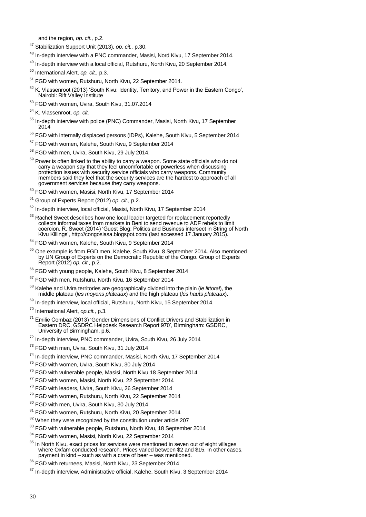and the region, *op. cit.,* p.2.

- <sup>47</sup> Stabilization Support Unit (2013), *op. cit.,* p.30.
- <sup>48</sup> In-depth interview with a PNC commander, Masisi, Nord Kivu, 17 September 2014.
- <sup>49</sup> In-depth interview with a local official, Rutshuru, North Kivu, 20 September 2014.
- <sup>50</sup> International Alert, *op. cit.,* p.3.
- <sup>51</sup> FGD with women, Rutshuru, North Kivu, 22 September 2014.
- $52$  K. Vlassenroot (2013) 'South Kivu: Identity, Territory, and Power in the Eastern Congo', Nairobi: Rift Valley Institute
- <sup>53</sup> FGD with women, Uvira, South Kivu, 31.07.2014
- <sup>54</sup> K. Vlassenroot, *op. cit.*
- <sup>55</sup> In-depth interview with police (PNC) Commander, Masisi, North Kivu, 17 September 2014
- <sup>56</sup> FGD with internally displaced persons (IDPs), Kalehe, South Kivu, 5 September 2014
- <sup>57</sup> FGD with women, Kalehe, South Kivu, 9 September 2014
- <sup>58</sup> FGD with men, Uvira, South Kivu, 29 July 2014.
- <sup>59</sup> Power is often linked to the ability to carry a weapon. Some state officials who do not carry a weapon say that they feel uncomfortable or powerless when discussing protection issues with security service officials who carry weapons. Community members said they feel that the security services are the hardest to approach of all government services because they carry weapons.
- <sup>60</sup> FGD with women, Masisi, North Kivu, 17 September 2014
- <sup>61</sup> Group of Experts Report (2012) *op. cit.,* p.2.
- <sup>62</sup> In-depth interview, local official, Masisi, North Kivu, 17 September 2014
- $63$  Rachel Sweet describes how one local leader targeted for replacement reportedly collects informal taxes from markets in Beni to send revenue to ADF rebels to limit coercion. R. Sweet (2014) 'Guest Blog: Politics and Business intersect in String of North Kivu Killings'[, http://congosiasa.blogspot.com/](http://congosiasa.blogspot.com/) (last accessed 17 January 2015).
- <sup>64</sup> FGD with women, Kalehe, South Kivu, 9 September 2014
- $65$  One example is from FGD men, Kalehe, South Kivu, 8 September 2014. Also mentioned by UN Group of Experts on the Democratic Republic of the Congo. Group of Experts Report (2012) *op. cit.,* p.2.
- <sup>66</sup> FGD with young people, Kalehe, South Kivu, 8 September 2014
- <sup>67</sup> FGD with men, Rutshuru, North Kivu, 16 September 2014
- <sup>68</sup> Kalehe and Uvira territories are geographically divided into the plain (*le littoral*), the middle plateau (*les moyens plateaux*) and the high plateau (*les hauts plateaux*).
- <sup>69</sup> In-depth interview, local official, Rutshuru, North Kivu, 15 September 2014.
- <sup>70</sup> International Alert, *op.cit.,* p.3.
- $71$  Emilie Combaz (2013) 'Gender Dimensions of Conflict Drivers and Stabilization in Eastern DRC, GSDRC Helpdesk Research Report 970', Birmingham: GSDRC, University of Birmingham, p.6.
- <sup>72</sup> In-depth interview, PNC commander, Uvira, South Kivu, 26 July 2014
- <sup>73</sup> FGD with men, Uvira, South Kivu, 31 July 2014
- <sup>74</sup> In-depth interview, PNC commander, Masisi, North Kivu, 17 September 2014
- <sup>75</sup> FGD with women, Uvira, South Kivu, 30 July 2014
- <sup>76</sup> FGD with vulnerable people, Masisi, North Kivu 18 September 2014
- <sup>77</sup> FGD with women, Masisi, North Kivu, 22 September 2014
- <sup>78</sup> FGD with leaders, Uvira, South Kivu, 26 September 2014
- <sup>79</sup> FGD with women, Rutshuru, North Kivu, 22 September 2014
- <sup>80</sup> FGD with men, Uvira, South Kivu, 30 July 2014
- <sup>81</sup> FGD with women, Rutshuru, North Kivu, 20 September 2014
- $82$  When they were recognized by the constitution under article 207
- <sup>83</sup> FGD with vulnerable people, Rutshuru, North Kivu, 18 September 2014
- 84 FGD with women, Masisi, North Kivu, 22 September 2014
- $85$  In North Kivu, exact prices for services were mentioned in seven out of eight villages where Oxfam conducted research. Prices varied between \$2 and \$15. In other cases, payment in kind – such as with a crate of beer – was mentioned.
- 86 FGD with returnees, Masisi, North Kivu, 23 September 2014
- <sup>87</sup> In-depth interview. Administrative official, Kalehe, South Kivu, 3 September 2014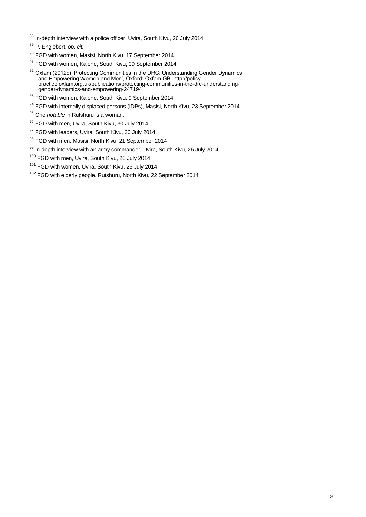<sup>88</sup> In-depth interview with a police officer, Uvira, South Kivu, 26 July 2014

- 90 FGD with women, Masisi, North Kivu, 17 September 2014.
- 91 FGD with women, Kalehe, South Kivu, 09 September 2014.
- $92$  Oxfam (2012c) 'Protecting Communities in the DRC: Understanding Gender Dynamics and Empowering Women and Men', Oxford: Oxfam GB, [http://policy](http://policy-practice.oxfam.org.uk/publications/protecting-communities-in-the-drc-understanding-gender-dynamics-and-empowering-247194)[practice.oxfam.org.uk/publications/protecting-communities-in-the-drc-understanding](http://policy-practice.oxfam.org.uk/publications/protecting-communities-in-the-drc-understanding-gender-dynamics-and-empowering-247194)[gender-dynamics-and-empowering-247194](http://policy-practice.oxfam.org.uk/publications/protecting-communities-in-the-drc-understanding-gender-dynamics-and-empowering-247194)
- 93 FGD with women, Kalehe, South Kivu, 9 September 2014
- 94 FGD with internally displaced persons (IDPs), Masisi, North Kivu, 23 September 2014
- <sup>95</sup> One *notable* in Rutshuru is a woman.
- 96 FGD with men, Uvira, South Kivu, 30 July 2014
- 97 FGD with leaders, Uvira, South Kivu, 30 July 2014
- 98 FGD with men, Masisi, North Kivu, 21 September 2014
- 99 In-depth interview with an army commander, Uvira, South Kivu, 26 July 2014
- <sup>100</sup> FGD with men, Uvira, South Kivu, 26 July 2014
- <sup>101</sup> FGD with women, Uvira, South Kivu, 26 July 2014
- <sup>102</sup> FGD with elderly people, Rutshuru, North Kivu, 22 September 2014

<sup>89</sup> P. Englebert, *op. cit.*